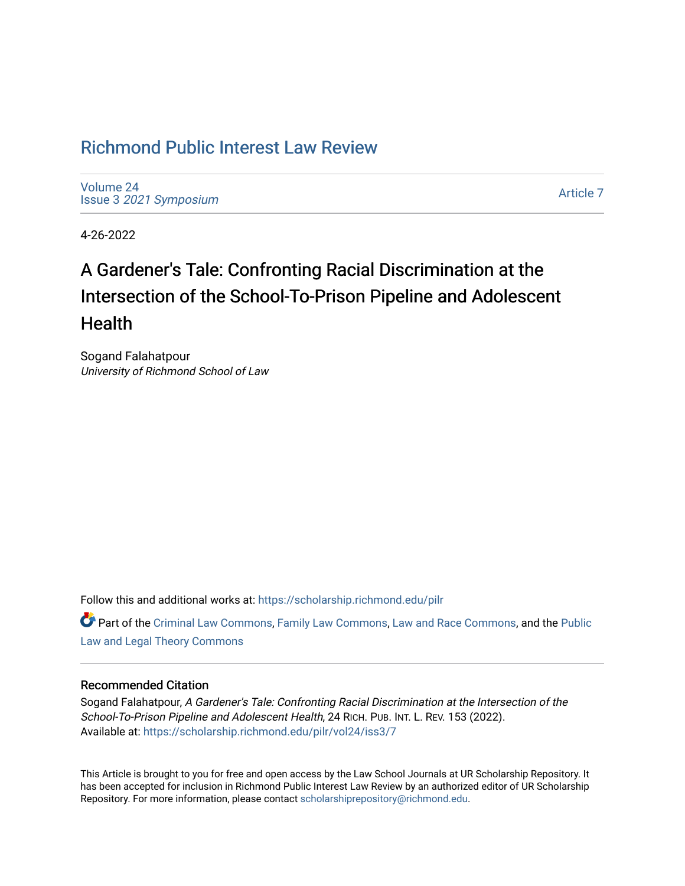## [Richmond Public Interest Law Review](https://scholarship.richmond.edu/pilr)

[Volume 24](https://scholarship.richmond.edu/pilr/vol24) Issue 3 [2021 Symposium](https://scholarship.richmond.edu/pilr/vol24/iss3)

[Article 7](https://scholarship.richmond.edu/pilr/vol24/iss3/7) 

4-26-2022

# A Gardener's Tale: Confronting Racial Discrimination at the Intersection of the School-To-Prison Pipeline and Adolescent **Health**

Sogand Falahatpour University of Richmond School of Law

Follow this and additional works at: [https://scholarship.richmond.edu/pilr](https://scholarship.richmond.edu/pilr?utm_source=scholarship.richmond.edu%2Fpilr%2Fvol24%2Fiss3%2F7&utm_medium=PDF&utm_campaign=PDFCoverPages) 

Part of the [Criminal Law Commons,](http://network.bepress.com/hgg/discipline/912?utm_source=scholarship.richmond.edu%2Fpilr%2Fvol24%2Fiss3%2F7&utm_medium=PDF&utm_campaign=PDFCoverPages) [Family Law Commons,](http://network.bepress.com/hgg/discipline/602?utm_source=scholarship.richmond.edu%2Fpilr%2Fvol24%2Fiss3%2F7&utm_medium=PDF&utm_campaign=PDFCoverPages) [Law and Race Commons,](http://network.bepress.com/hgg/discipline/1300?utm_source=scholarship.richmond.edu%2Fpilr%2Fvol24%2Fiss3%2F7&utm_medium=PDF&utm_campaign=PDFCoverPages) and the [Public](http://network.bepress.com/hgg/discipline/871?utm_source=scholarship.richmond.edu%2Fpilr%2Fvol24%2Fiss3%2F7&utm_medium=PDF&utm_campaign=PDFCoverPages) [Law and Legal Theory Commons](http://network.bepress.com/hgg/discipline/871?utm_source=scholarship.richmond.edu%2Fpilr%2Fvol24%2Fiss3%2F7&utm_medium=PDF&utm_campaign=PDFCoverPages) 

## Recommended Citation

Sogand Falahatpour, A Gardener's Tale: Confronting Racial Discrimination at the Intersection of the School-To-Prison Pipeline and Adolescent Health, 24 RICH. PUB. INT. L. REV. 153 (2022). Available at: [https://scholarship.richmond.edu/pilr/vol24/iss3/7](https://scholarship.richmond.edu/pilr/vol24/iss3/7?utm_source=scholarship.richmond.edu%2Fpilr%2Fvol24%2Fiss3%2F7&utm_medium=PDF&utm_campaign=PDFCoverPages)

This Article is brought to you for free and open access by the Law School Journals at UR Scholarship Repository. It has been accepted for inclusion in Richmond Public Interest Law Review by an authorized editor of UR Scholarship Repository. For more information, please contact [scholarshiprepository@richmond.edu](mailto:scholarshiprepository@richmond.edu).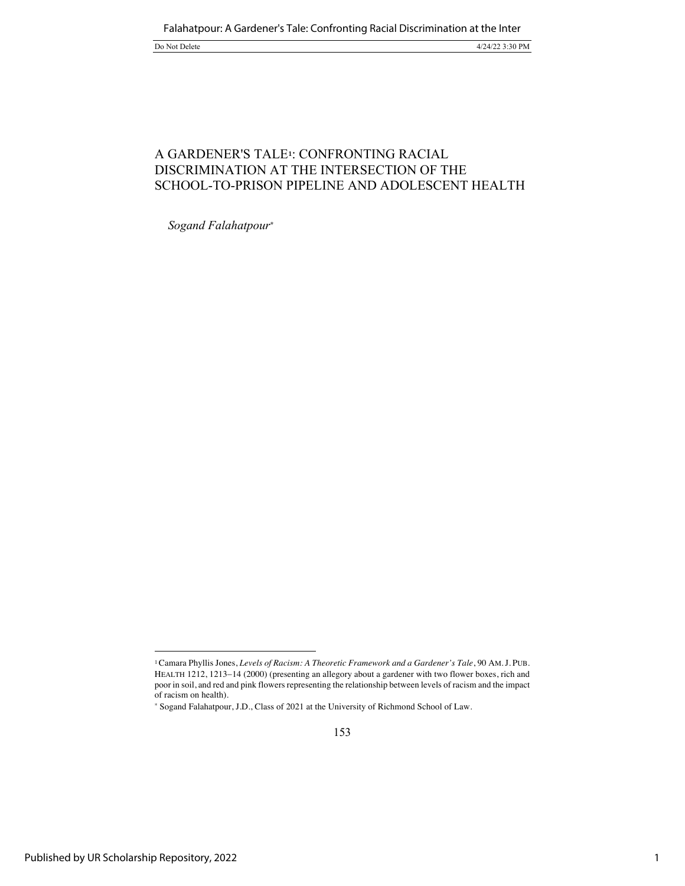## A GARDENER'S TALE**1**: CONFRONTING RACIAL DISCRIMINATION AT THE INTERSECTION OF THE SCHOOL-TO-PRISON PIPELINE AND ADOLESCENT HEALTH

*Sogand Falahatpour\**

<sup>1</sup>Camara Phyllis Jones, *Levels of Racism: A Theoretic Framework and a Gardener's Tale*, 90 AM.J. PUB. HEALTH 1212, 1213-14 (2000) (presenting an allegory about a gardener with two flower boxes, rich and poor in soil, and red and pink flowers representing the relationship between levels of racism and the impact of racism on health).

<sup>\*</sup> Sogand Falahatpour, J.D., Class of 2021 at the University of Richmond School of Law.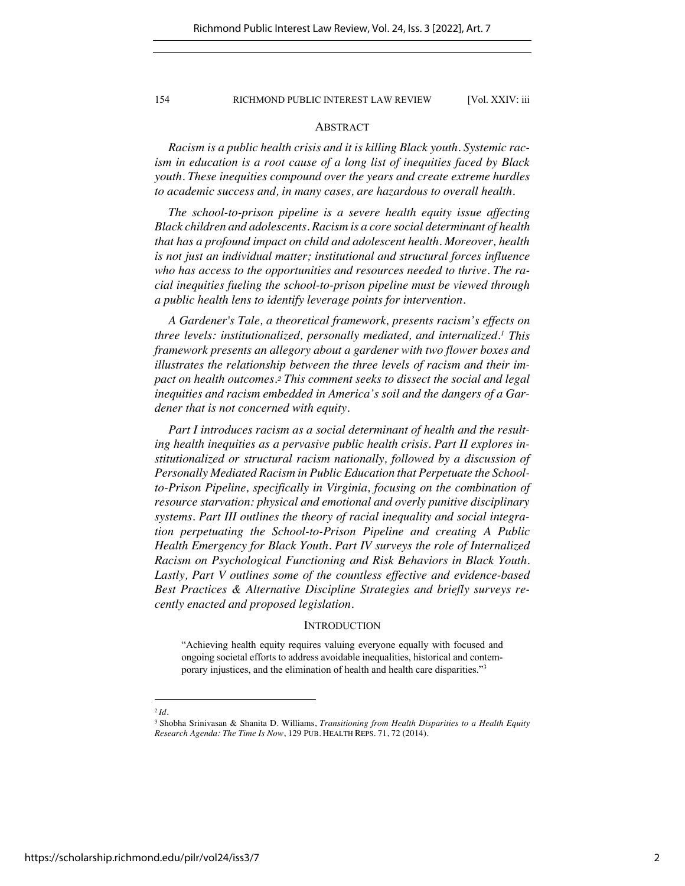#### ABSTRACT

*Racism is a public health crisis and it is killing Black youth. Systemic racism in education is a root cause of a long list of inequities faced by Black youth. These inequities compound over the years and create extreme hurdles to academic success and, in many cases, are hazardous to overall health.*

*The school-to-prison pipeline is a severe health equity issue affecting Black children and adolescents. Racism is a core social determinant of health that has a profound impact on child and adolescent health. Moreover, health is not just an individual matter; institutional and structural forces influence who has access to the opportunities and resources needed to thrive. The racial inequities fueling the school-to-prison pipeline must be viewed through a public health lens to identify leverage points for intervention.*

*A Gardener's Tale, a theoretical framework, presents racism's effects on three levels: institutionalized, personally mediated, and internalized.1 This framework presents an allegory about a gardener with two flower boxes and illustrates the relationship between the three levels of racism and their impact on health outcomes.<sup>2</sup> This comment seeks to dissect the social and legal inequities and racism embedded in America's soil and the dangers of a Gardener that is not concerned with equity.*

*Part I introduces racism as a social determinant of health and the resulting health inequities as a pervasive public health crisis. Part II explores institutionalized or structural racism nationally, followed by a discussion of Personally Mediated Racism in Public Education that Perpetuate the Schoolto-Prison Pipeline, specifically in Virginia, focusing on the combination of resource starvation: physical and emotional and overly punitive disciplinary systems. Part III outlines the theory of racial inequality and social integration perpetuating the School-to-Prison Pipeline and creating A Public Health Emergency for Black Youth. Part IV surveys the role of Internalized Racism on Psychological Functioning and Risk Behaviors in Black Youth. Lastly, Part V outlines some of the countless effective and evidence-based Best Practices & Alternative Discipline Strategies and briefly surveys recently enacted and proposed legislation.*

#### **INTRODUCTION**

"Achieving health equity requires valuing everyone equally with focused and ongoing societal efforts to address avoidable inequalities, historical and contemporary injustices, and the elimination of health and health care disparities."3

<sup>3</sup> Shobha Srinivasan & Shanita D. Williams, *Transitioning from Health Disparities to a Health Equity Research Agenda: The Time Is Now*, 129 PUB. HEALTH REPS. 71, 72 (2014).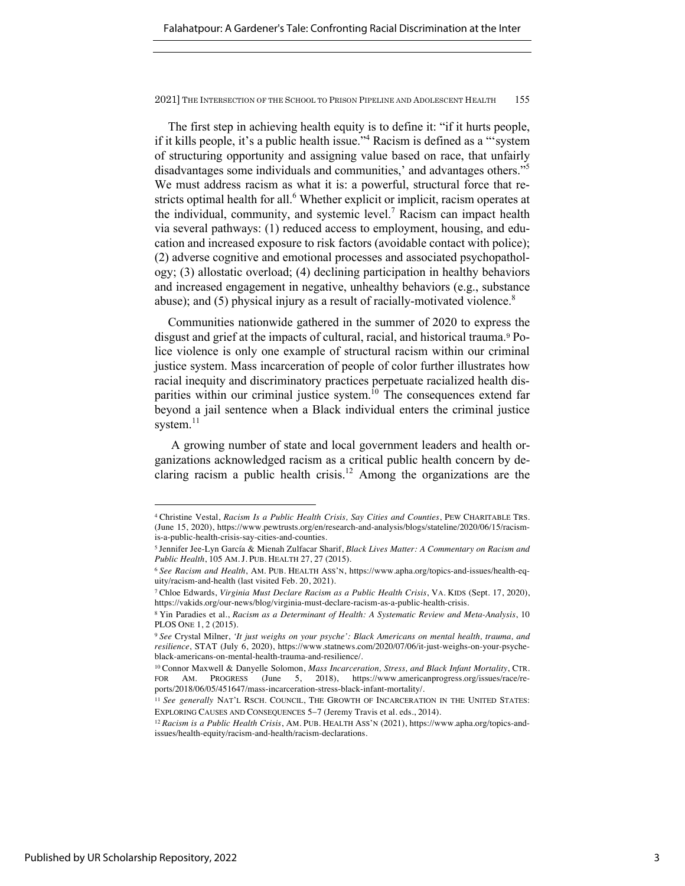The first step in achieving health equity is to define it: "if it hurts people, if it kills people, it's a public health issue."4 Racism is defined as a "'system of structuring opportunity and assigning value based on race, that unfairly disadvantages some individuals and communities,' and advantages others."<sup>5</sup> We must address racism as what it is: a powerful, structural force that restricts optimal health for all.<sup>6</sup> Whether explicit or implicit, racism operates at the individual, community, and systemic level.<sup>7</sup> Racism can impact health via several pathways: (1) reduced access to employment, housing, and education and increased exposure to risk factors (avoidable contact with police); (2) adverse cognitive and emotional processes and associated psychopathology; (3) allostatic overload; (4) declining participation in healthy behaviors and increased engagement in negative, unhealthy behaviors (e.g., substance abuse); and  $(5)$  physical injury as a result of racially-motivated violence.<sup>8</sup>

Communities nationwide gathered in the summer of 2020 to express the disgust and grief at the impacts of cultural, racial, and historical trauma.<sup>9</sup> Police violence is only one example of structural racism within our criminal justice system. Mass incarceration of people of color further illustrates how racial inequity and discriminatory practices perpetuate racialized health disparities within our criminal justice system.<sup>10</sup> The consequences extend far beyond a jail sentence when a Black individual enters the criminal justice system.<sup>11</sup>

A growing number of state and local government leaders and health organizations acknowledged racism as a critical public health concern by declaring racism a public health crisis.<sup>12</sup> Among the organizations are the

<sup>4</sup> Christine Vestal, *Racism Is a Public Health Crisis, Say Cities and Counties*, PEW CHARITABLE TRS. (June 15, 2020), https://www.pewtrusts.org/en/research-and-analysis/blogs/stateline/2020/06/15/racismis-a-public-health-crisis-say-cities-and-counties.

<sup>5</sup> Jennifer Jee-Lyn García & Mienah Zulfacar Sharif, *Black Lives Matter: A Commentary on Racism and Public Health*, 105 AM. J. PUB. HEALTH 27, 27 (2015).

<sup>6</sup> *See Racism and Health*, AM. PUB. HEALTH ASS'N, https://www.apha.org/topics-and-issues/health-equity/racism-and-health (last visited Feb. 20, 2021).

<sup>7</sup> Chloe Edwards, *Virginia Must Declare Racism as a Public Health Crisis*, VA. KIDS (Sept. 17, 2020), https://vakids.org/our-news/blog/virginia-must-declare-racism-as-a-public-health-crisis.

<sup>8</sup> Yin Paradies et al., *Racism as a Determinant of Health: A Systematic Review and Meta-Analysis*, 10 PLOS ONE 1, 2 (2015).

<sup>9</sup> *See* Crystal Milner, *'It just weighs on your psyche': Black Americans on mental health, trauma, and resilience*, STAT (July 6, 2020), https://www.statnews.com/2020/07/06/it-just-weighs-on-your-psycheblack-americans-on-mental-health-trauma-and-resilience/.

<sup>10</sup> Connor Maxwell & Danyelle Solomon, *Mass Incarceration, Stress, and Black Infant Mortality*, CTR. FOR AM. PROGRESS (June 5, 2018), https://www.americanprogress.org/issues/race/reports/2018/06/05/451647/mass-incarceration-stress-black-infant-mortality/.

<sup>11</sup> *See generally* NAT'L RSCH. COUNCIL, THE GROWTH OF INCARCERATION IN THE UNITED STATES: EXPLORING CAUSES AND CONSEQUENCES 5-7 (Jeremy Travis et al. eds., 2014).

<sup>12</sup> *Racism is a Public Health Crisis*, AM. PUB. HEALTH ASS'N (2021), https://www.apha.org/topics-andissues/health-equity/racism-and-health/racism-declarations.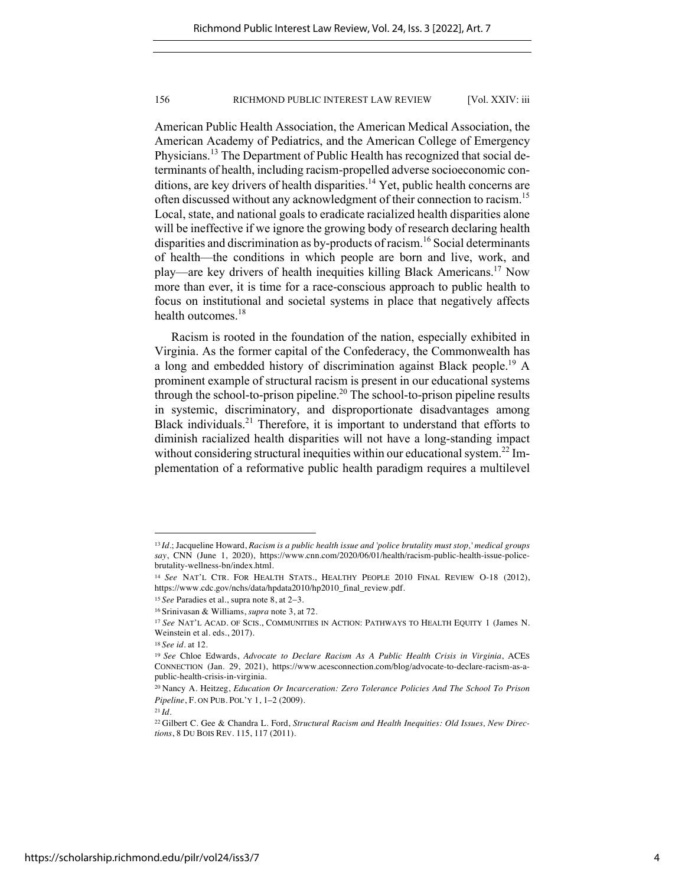American Public Health Association, the American Medical Association, the American Academy of Pediatrics, and the American College of Emergency Physicians.<sup>13</sup> The Department of Public Health has recognized that social determinants of health, including racism-propelled adverse socioeconomic conditions, are key drivers of health disparities.<sup>14</sup> Yet, public health concerns are often discussed without any acknowledgment of their connection to racism.<sup>15</sup> Local, state, and national goals to eradicate racialized health disparities alone will be ineffective if we ignore the growing body of research declaring health disparities and discrimination as by-products of racism.<sup>16</sup> Social determinants of health—the conditions in which people are born and live, work, and play—are key drivers of health inequities killing Black Americans.17 Now more than ever, it is time for a race-conscious approach to public health to focus on institutional and societal systems in place that negatively affects health outcomes.<sup>18</sup>

Racism is rooted in the foundation of the nation, especially exhibited in Virginia. As the former capital of the Confederacy, the Commonwealth has a long and embedded history of discrimination against Black people.<sup>19</sup> A prominent example of structural racism is present in our educational systems through the school-to-prison pipeline.<sup>20</sup> The school-to-prison pipeline results in systemic, discriminatory, and disproportionate disadvantages among Black individuals. $^{21}$  Therefore, it is important to understand that efforts to diminish racialized health disparities will not have a long-standing impact without considering structural inequities within our educational system.<sup>22</sup> Implementation of a reformative public health paradigm requires a multilevel

<sup>13</sup> *Id.*; Jacqueline Howard, *Racism is a public health issue and 'police brutality must stop,' medical groups say*, CNN (June 1, 2020), https://www.cnn.com/2020/06/01/health/racism-public-health-issue-policebrutality-wellness-bn/index.html.

<sup>14</sup> *See* NAT'L CTR. FOR HEALTH STATS., HEALTHY PEOPLE 2010 FINAL REVIEW O-18 (2012), https://www.cdc.gov/nchs/data/hpdata2010/hp2010\_final\_review.pdf.

<sup>15</sup> *See* Paradies et al., supra note 8, at 2-3.

<sup>16</sup> Srinivasan & Williams, *supra* note 3, at 72.

<sup>17</sup> *See* NAT'L ACAD. OF SCIS., COMMUNITIES IN ACTION: PATHWAYS TO HEALTH EQUITY 1 (James N. Weinstein et al. eds., 2017).

<sup>18</sup> *See id.* at 12.

<sup>19</sup> *See* Chloe Edwards, *Advocate to Declare Racism As A Public Health Crisis in Virginia*, ACES CONNECTION (Jan. 29, 2021), https://www.acesconnection.com/blog/advocate-to-declare-racism-as-apublic-health-crisis-in-virginia.

<sup>20</sup> Nancy A. Heitzeg, *Education Or Incarceration: Zero Tolerance Policies And The School To Prison Pipeline*, F. ON PUB. POL'Y 1, 1–2 (2009).

<sup>22</sup> Gilbert C. Gee & Chandra L. Ford, *Structural Racism and Health Inequities: Old Issues, New Directions*, 8 DU BOIS REV. 115, 117 (2011).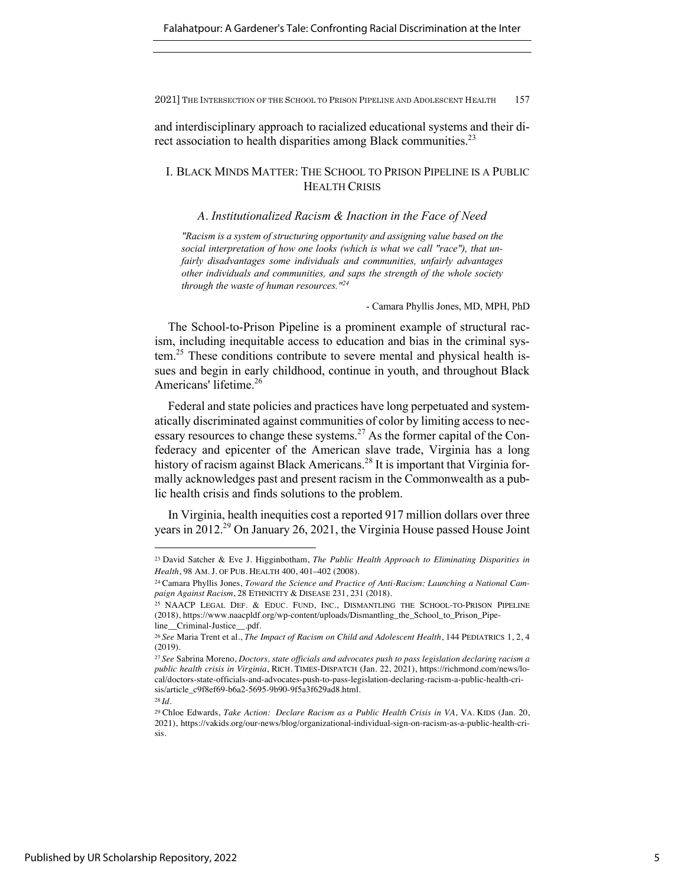and interdisciplinary approach to racialized educational systems and their direct association to health disparities among Black communities.<sup>23</sup>

## I. BLACK MINDS MATTER: THE SCHOOL TO PRISON PIPELINE IS A PUBLIC HEALTH CRISIS

#### *A. Institutionalized Racism & Inaction in the Face of Need*

*"Racism is a system of structuring opportunity and assigning value based on the social interpretation of how one looks (which is what we call "race"), that unfairly disadvantages some individuals and communities, unfairly advantages other individuals and communities, and saps the strength of the whole society through the waste of human resources."24*

- Camara Phyllis Jones, MD, MPH, PhD

The School-to-Prison Pipeline is a prominent example of structural racism, including inequitable access to education and bias in the criminal system.<sup>25</sup> These conditions contribute to severe mental and physical health issues and begin in early childhood, continue in youth, and throughout Black Americans' lifetime.<sup>26</sup>

Federal and state policies and practices have long perpetuated and systematically discriminated against communities of color by limiting access to necessary resources to change these systems.<sup>27</sup> As the former capital of the Confederacy and epicenter of the American slave trade, Virginia has a long history of racism against Black Americans.<sup>28</sup> It is important that Virginia formally acknowledges past and present racism in the Commonwealth as a public health crisis and finds solutions to the problem.

In Virginia, health inequities cost a reported 917 million dollars over three years in 2012.<sup>29</sup> On January 26, 2021, the Virginia House passed House Joint

<sup>23</sup> David Satcher & Eve J. Higginbotham, *The Public Health Approach to Eliminating Disparities in Health*, 98 AM. J. OF PUB. HEALTH 400, 401–402 (2008).

<sup>24</sup> Camara Phyllis Jones, *Toward the Science and Practice of Anti-Racism: Launching a National Campaign Against Racism*, 28 ETHNICITY & DISEASE 231, 231 (2018).

<sup>25</sup> NAACP LEGAL DEF. & EDUC. FUND, INC., DISMANTLING THE SCHOOL-TO-PRISON PIPELINE (2018), https://www.naacpldf.org/wp-content/uploads/Dismantling\_the\_School\_to\_Prison\_Pipeline\_\_Criminal-Justice\_\_.pdf.

<sup>26</sup> *See* Maria Trent et al., *The Impact of Racism on Child and Adolescent Health*, 144 PEDIATRICS 1, 2, 4 (2019).

<sup>27</sup> *See* Sabrina Moreno, *Doctors, state officials and advocates push to pass legislation declaring racism a public health crisis in Virginia*, RICH. TIMES-DISPATCH (Jan. 22, 2021), https://richmond.com/news/local/doctors-state-officials-and-advocates-push-to-pass-legislation-declaring-racism-a-public-health-crisis/article\_c9f8ef69-b6a2-5695-9b90-9f5a3f629ad8.html.

<sup>28</sup> *Id.*

<sup>29</sup> Chloe Edwards, *Take Action: Declare Racism as a Public Health Crisis in VA*, VA. KIDS (Jan. 20, 2021), https://vakids.org/our-news/blog/organizational-individual-sign-on-racism-as-a-public-health-crisis.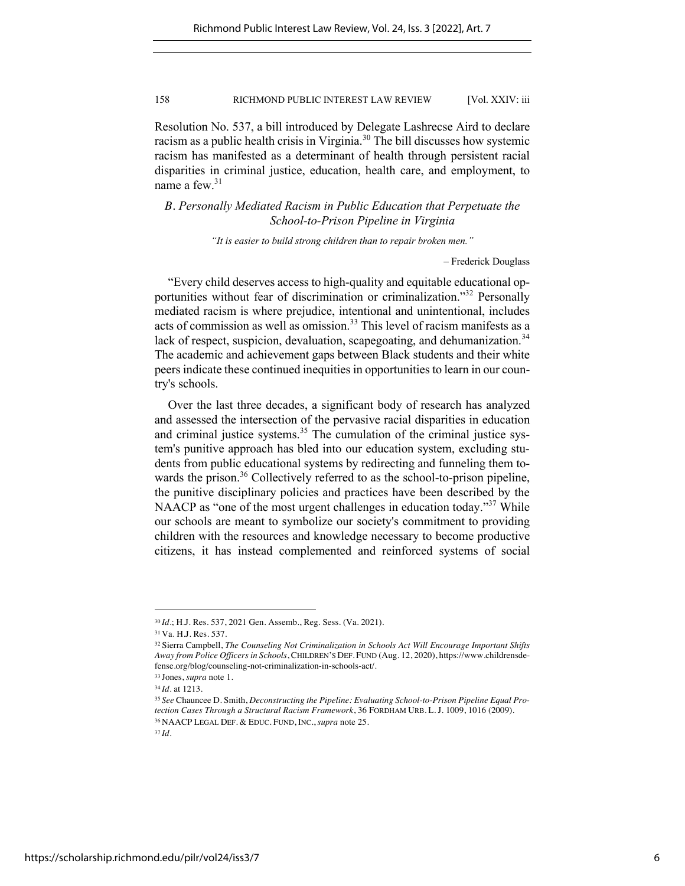Resolution No. 537, a bill introduced by Delegate Lashrecse Aird to declare racism as a public health crisis in Virginia.<sup>30</sup> The bill discusses how systemic racism has manifested as a determinant of health through persistent racial disparities in criminal justice, education, health care, and employment, to name a few.<sup>31</sup>

*B. Personally Mediated Racism in Public Education that Perpetuate the School-to-Prison Pipeline in Virginia*

*"It is easier to build strong children than to repair broken men."*

– Frederick Douglass

"Every child deserves access to high-quality and equitable educational opportunities without fear of discrimination or criminalization."32 Personally mediated racism is where prejudice, intentional and unintentional, includes acts of commission as well as omission.<sup>33</sup> This level of racism manifests as a lack of respect, suspicion, devaluation, scapegoating, and dehumanization.<sup>34</sup> The academic and achievement gaps between Black students and their white peers indicate these continued inequities in opportunities to learn in our country's schools.

Over the last three decades, a significant body of research has analyzed and assessed the intersection of the pervasive racial disparities in education and criminal justice systems.<sup>35</sup> The cumulation of the criminal justice system's punitive approach has bled into our education system, excluding students from public educational systems by redirecting and funneling them towards the prison.<sup>36</sup> Collectively referred to as the school-to-prison pipeline, the punitive disciplinary policies and practices have been described by the NAACP as "one of the most urgent challenges in education today."<sup>37</sup> While our schools are meant to symbolize our society's commitment to providing children with the resources and knowledge necessary to become productive citizens, it has instead complemented and reinforced systems of social

<sup>30</sup> *Id.*; H.J. Res. 537, 2021 Gen. Assemb., Reg. Sess. (Va. 2021)*.*

<sup>31</sup> Va. H.J. Res. 537.

<sup>32</sup> Sierra Campbell, *The Counseling Not Criminalization in Schools Act Will Encourage Important Shifts Away from Police Officers in Schools*, CHILDREN'S DEF. FUND (Aug. 12, 2020), https://www.childrensdefense.org/blog/counseling-not-criminalization-in-schools-act/.

<sup>33</sup> Jones, *supra* note 1.

<sup>34</sup> *Id.* at 1213.

<sup>35</sup> *See* Chauncee D. Smith, *Deconstructing the Pipeline: Evaluating School-to-Prison Pipeline Equal Protection Cases Through a Structural Racism Framework*, 36 FORDHAM URB. L. J. 1009, 1016 (2009). <sup>36</sup> NAACP LEGAL DEF. & EDUC. FUND, INC., *supra* note 25.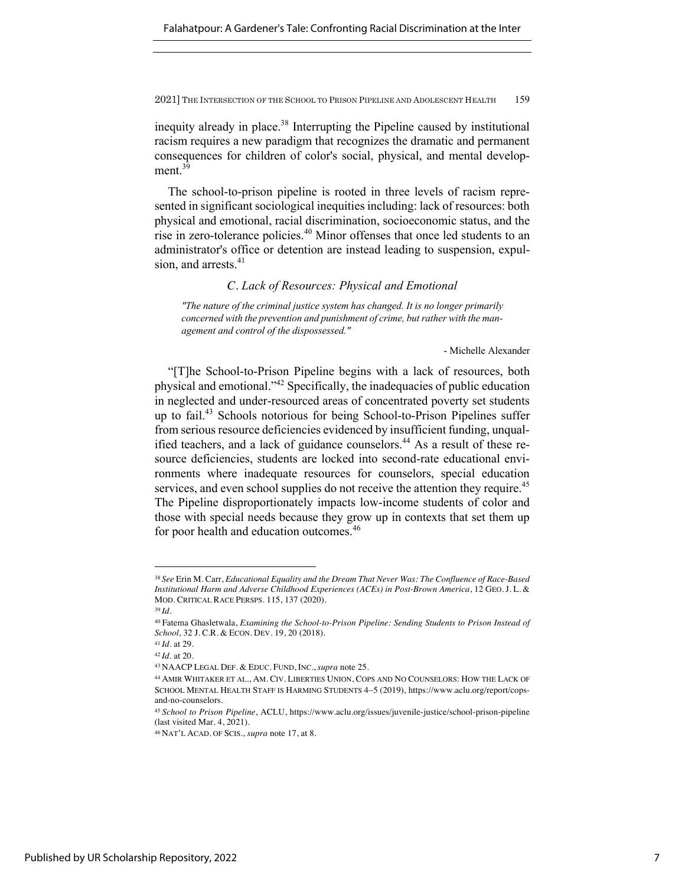inequity already in place.<sup>38</sup> Interrupting the Pipeline caused by institutional racism requires a new paradigm that recognizes the dramatic and permanent consequences for children of color's social, physical, and mental development.<sup>39</sup>

The school-to-prison pipeline is rooted in three levels of racism represented in significant sociological inequities including: lack of resources: both physical and emotional, racial discrimination, socioeconomic status, and the rise in zero-tolerance policies.<sup>40</sup> Minor offenses that once led students to an administrator's office or detention are instead leading to suspension, expulsion, and arrests.<sup>41</sup>

*C. Lack of Resources: Physical and Emotional*

*"The nature of the criminal justice system has changed. It is no longer primarily concerned with the prevention and punishment of crime, but rather with the management and control of the dispossessed."* 

- Michelle Alexander

"[T]he School-to-Prison Pipeline begins with a lack of resources, both physical and emotional."42 Specifically, the inadequacies of public education in neglected and under-resourced areas of concentrated poverty set students up to fail.43 Schools notorious for being School-to-Prison Pipelines suffer from serious resource deficiencies evidenced by insufficient funding, unqualified teachers, and a lack of guidance counselors.<sup>44</sup> As a result of these resource deficiencies, students are locked into second-rate educational environments where inadequate resources for counselors, special education services, and even school supplies do not receive the attention they require.<sup>45</sup> The Pipeline disproportionately impacts low-income students of color and those with special needs because they grow up in contexts that set them up for poor health and education outcomes.<sup>46</sup>

<sup>38</sup> *See* Erin M. Carr, *Educational Equality and the Dream That Never Was: The Confluence of Race-Based Institutional Harm and Adverse Childhood Experiences (ACEs) in Post-Brown America*, 12 GEO. J. L. & MOD. CRITICAL RACE PERSPS. 115, 137 (2020).

<sup>39</sup> *Id.*

<sup>40</sup> Fatema Ghasletwala, *Examining the School-to-Prison Pipeline: Sending Students to Prison Instead of School,* 32 J. C.R. & ECON. DEV. 19, 20 (2018).

<sup>41</sup> *Id.* at 29.

<sup>42</sup> *Id.* at 20.

<sup>43</sup> NAACP LEGAL DEF. & EDUC. FUND, INC., *supra* note 25.

<sup>44</sup> AMIR WHITAKER ET AL., AM. CIV. LIBERTIES UNION, COPS AND NO COUNSELORS: HOW THE LACK OF SCHOOL MENTAL HEALTH STAFF IS HARMING STUDENTS 4-5 (2019), https://www.aclu.org/report/copsand-no-counselors.

<sup>45</sup> *School to Prison Pipeline*, ACLU, https://www.aclu.org/issues/juvenile-justice/school-prison-pipeline (last visited Mar. 4, 2021).

<sup>46</sup> NAT'L ACAD. OF SCIS., *supra* note 17, at 8.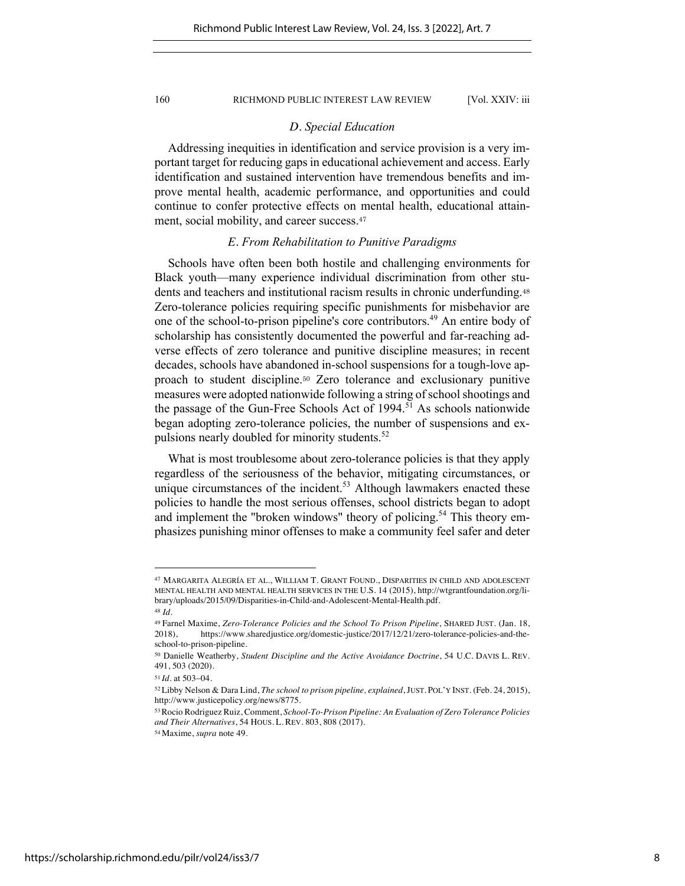#### *D. Special Education*

Addressing inequities in identification and service provision is a very important target for reducing gaps in educational achievement and access. Early identification and sustained intervention have tremendous benefits and improve mental health, academic performance, and opportunities and could continue to confer protective effects on mental health, educational attainment, social mobility, and career success.<sup>47</sup>

#### *E. From Rehabilitation to Punitive Paradigms*

Schools have often been both hostile and challenging environments for Black youth—many experience individual discrimination from other students and teachers and institutional racism results in chronic underfunding.<sup>48</sup> Zero-tolerance policies requiring specific punishments for misbehavior are one of the school-to-prison pipeline's core contributors.49 An entire body of scholarship has consistently documented the powerful and far-reaching adverse effects of zero tolerance and punitive discipline measures; in recent decades, schools have abandoned in-school suspensions for a tough-love approach to student discipline.<sup>50</sup> Zero tolerance and exclusionary punitive measures were adopted nationwide following a string of school shootings and the passage of the Gun-Free Schools Act of  $1994$ .<sup>51</sup> As schools nationwide began adopting zero-tolerance policies, the number of suspensions and expulsions nearly doubled for minority students.<sup>52</sup>

What is most troublesome about zero-tolerance policies is that they apply regardless of the seriousness of the behavior, mitigating circumstances, or unique circumstances of the incident.<sup>53</sup> Although lawmakers enacted these policies to handle the most serious offenses, school districts began to adopt and implement the "broken windows" theory of policing.<sup>54</sup> This theory emphasizes punishing minor offenses to make a community feel safer and deter

<sup>47</sup> MARGARITA ALEGRÍA ET AL., WILLIAM T. GRANT FOUND., DISPARITIES IN CHILD AND ADOLESCENT MENTAL HEALTH AND MENTAL HEALTH SERVICES IN THE U.S. 14 (2015), http://wtgrantfoundation.org/library/uploads/2015/09/Disparities-in-Child-and-Adolescent-Mental-Health.pdf. <sup>48</sup> *Id.*

<sup>49</sup> Farnel Maxime, *Zero-Tolerance Policies and the School To Prison Pipeline*, SHARED JUST. (Jan. 18, 2018), https://www.sharedjustice.org/domestic-justice/2017/12/21/zero-tolerance-policies-and-theschool-to-prison-pipeline.

<sup>50</sup> Danielle Weatherby, *Student Discipline and the Active Avoidance Doctrine*, 54 U.C. DAVIS L. REV. 491, 503 (2020).

<sup>51</sup> *Id.* at 503-04.

<sup>52</sup>Libby Nelson & Dara Lind, *The school to prison pipeline, explained*, JUST. POL'Y INST. (Feb. 24, 2015), http://www.justicepolicy.org/news/8775.

<sup>53</sup>Rocio Rodriguez Ruiz, Comment, *School-To-Prison Pipeline: An Evaluation of Zero Tolerance Policies and Their Alternatives*, 54 HOUS. L. REV. 803, 808 (2017).

<sup>54</sup> Maxime, *supra* note 49.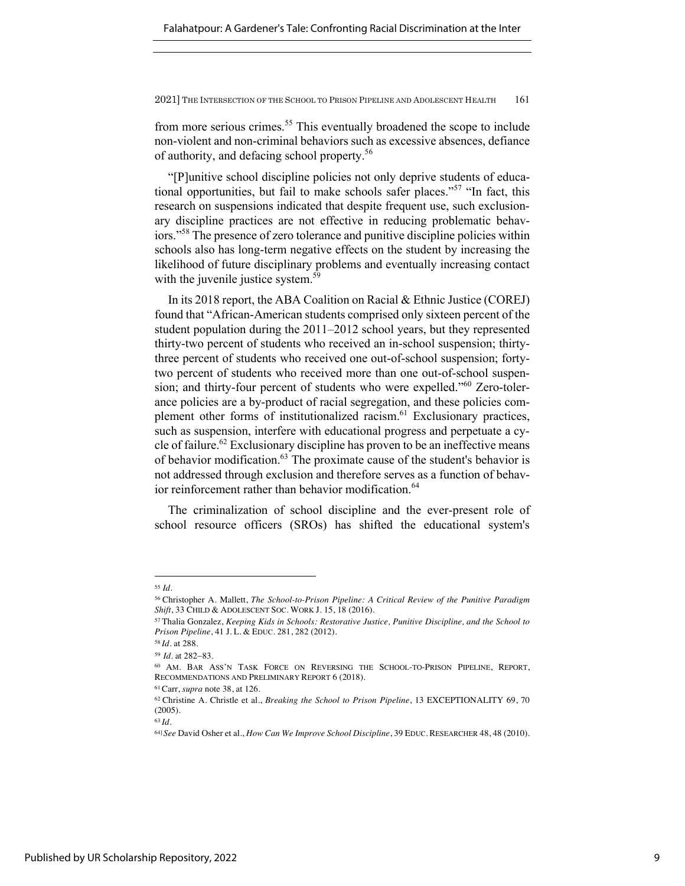from more serious crimes.<sup>55</sup> This eventually broadened the scope to include non-violent and non-criminal behaviors such as excessive absences, defiance of authority, and defacing school property.56

"[P]unitive school discipline policies not only deprive students of educational opportunities, but fail to make schools safer places."<sup>57</sup> "In fact, this research on suspensions indicated that despite frequent use, such exclusionary discipline practices are not effective in reducing problematic behaviors."<sup>58</sup> The presence of zero tolerance and punitive discipline policies within schools also has long-term negative effects on the student by increasing the likelihood of future disciplinary problems and eventually increasing contact with the juvenile justice system.<sup>59</sup>

In its 2018 report, the ABA Coalition on Racial & Ethnic Justice (COREJ) found that "African-American students comprised only sixteen percent of the student population during the 2011–2012 school years, but they represented thirty-two percent of students who received an in-school suspension; thirtythree percent of students who received one out-of-school suspension; fortytwo percent of students who received more than one out-of-school suspension; and thirty-four percent of students who were expelled."<sup>60</sup> Zero-tolerance policies are a by-product of racial segregation, and these policies complement other forms of institutionalized racism.<sup>61</sup> Exclusionary practices, such as suspension, interfere with educational progress and perpetuate a cycle of failure.<sup>62</sup> Exclusionary discipline has proven to be an ineffective means of behavior modification.<sup>63</sup> The proximate cause of the student's behavior is not addressed through exclusion and therefore serves as a function of behavior reinforcement rather than behavior modification.<sup>64</sup>

The criminalization of school discipline and the ever-present role of school resource officers (SROs) has shifted the educational system's

<sup>55</sup> *Id.* 

<sup>56</sup> Christopher A. Mallett, *The School-to-Prison Pipeline: A Critical Review of the Punitive Paradigm Shift*, 33 CHILD & ADOLESCENT SOC. WORK J. 15, 18 (2016).

<sup>57</sup> Thalia Gonzalez, *Keeping Kids in Schools: Restorative Justice, Punitive Discipline, and the School to Prison Pipeline*, 41 J. L. & EDUC. 281, 282 (2012).

<sup>58</sup> *Id.* at 288.

<sup>59</sup>*Id.* at 282-83.

<sup>60</sup> AM. BAR ASS'N TASK FORCE ON REVERSING THE SCHOOL-TO-PRISON PIPELINE, REPORT, RECOMMENDATIONS AND PRELIMINARY REPORT 6 (2018).

<sup>61</sup> Carr, *supra* note 38, at 126.

<sup>62</sup> Christine A. Christle et al., *Breaking the School to Prison Pipeline*, 13 EXCEPTIONALITY 69, 70 (2005).

<sup>64]</sup> *See* David Osher et al., *How Can We Improve School Discipline*, 39 EDUC. RESEARCHER 48, 48 (2010).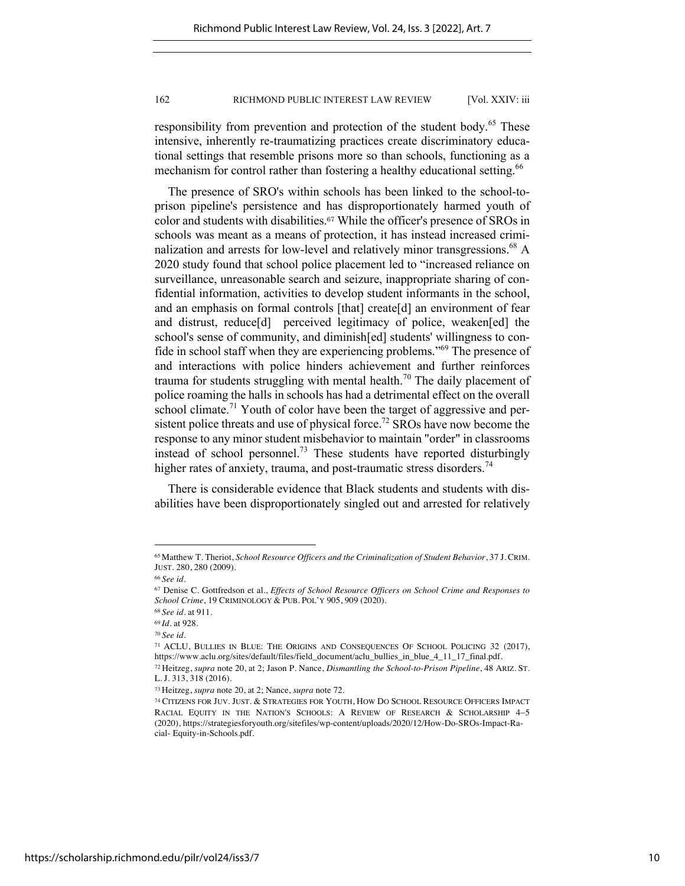responsibility from prevention and protection of the student body.<sup>65</sup> These intensive, inherently re-traumatizing practices create discriminatory educational settings that resemble prisons more so than schools, functioning as a mechanism for control rather than fostering a healthy educational setting.<sup>66</sup>

The presence of SRO's within schools has been linked to the school-toprison pipeline's persistence and has disproportionately harmed youth of color and students with disabilities.<sup>67</sup> While the officer's presence of SROs in schools was meant as a means of protection, it has instead increased criminalization and arrests for low-level and relatively minor transgressions.<sup>68</sup> A 2020 study found that school police placement led to "increased reliance on surveillance, unreasonable search and seizure, inappropriate sharing of confidential information, activities to develop student informants in the school, and an emphasis on formal controls [that] create[d] an environment of fear and distrust, reduce[d] perceived legitimacy of police, weaken[ed] the school's sense of community, and diminish[ed] students' willingness to confide in school staff when they are experiencing problems."69 The presence of and interactions with police hinders achievement and further reinforces trauma for students struggling with mental health.<sup>70</sup> The daily placement of police roaming the halls in schools has had a detrimental effect on the overall school climate.<sup>71</sup> Youth of color have been the target of aggressive and persistent police threats and use of physical force.<sup>72</sup> SROs have now become the response to any minor student misbehavior to maintain "order" in classrooms instead of school personnel.<sup>73</sup> These students have reported disturbingly higher rates of anxiety, trauma, and post-traumatic stress disorders.<sup>74</sup>

There is considerable evidence that Black students and students with disabilities have been disproportionately singled out and arrested for relatively

<sup>65</sup> Matthew T. Theriot, *School Resource Officers and the Criminalization of Student Behavior*, 37 J. CRIM. JUST. 280, 280 (2009).

<sup>66</sup> *See id.* 

<sup>67</sup> Denise C. Gottfredson et al., *Effects of School Resource Officers on School Crime and Responses to School Crime*, 19 CRIMINOLOGY & PUB. POL'Y 905, 909 (2020).

<sup>68</sup> *See id.* at 911.

<sup>69</sup> *Id.* at 928.

<sup>70</sup> *See id.*

<sup>71</sup> ACLU, BULLIES IN BLUE: THE ORIGINS AND CONSEQUENCES OF SCHOOL POLICING 32 (2017), https://www.aclu.org/sites/default/files/field\_document/aclu\_bullies\_in\_blue\_4\_11\_17\_final.pdf.

<sup>72</sup> Heitzeg, *supra* note 20, at 2; Jason P. Nance, *Dismantling the School-to-Prison Pipeline*, 48 ARIZ. ST. L. J. 313, 318 (2016).

<sup>73</sup> Heitzeg, *supra* note 20, at 2; Nance, *supra* note 72.

<sup>74</sup> CITIZENS FOR JUV. JUST. & STRATEGIES FOR YOUTH, HOW DO SCHOOL RESOURCE OFFICERS IMPACT RACIAL EQUITY IN THE NATION'S SCHOOLS: A REVIEW OF RESEARCH & SCHOLARSHIP 4-5 (2020), https://strategiesforyouth.org/sitefiles/wp-content/uploads/2020/12/How-Do-SROs-Impact-Racial- Equity-in-Schools.pdf.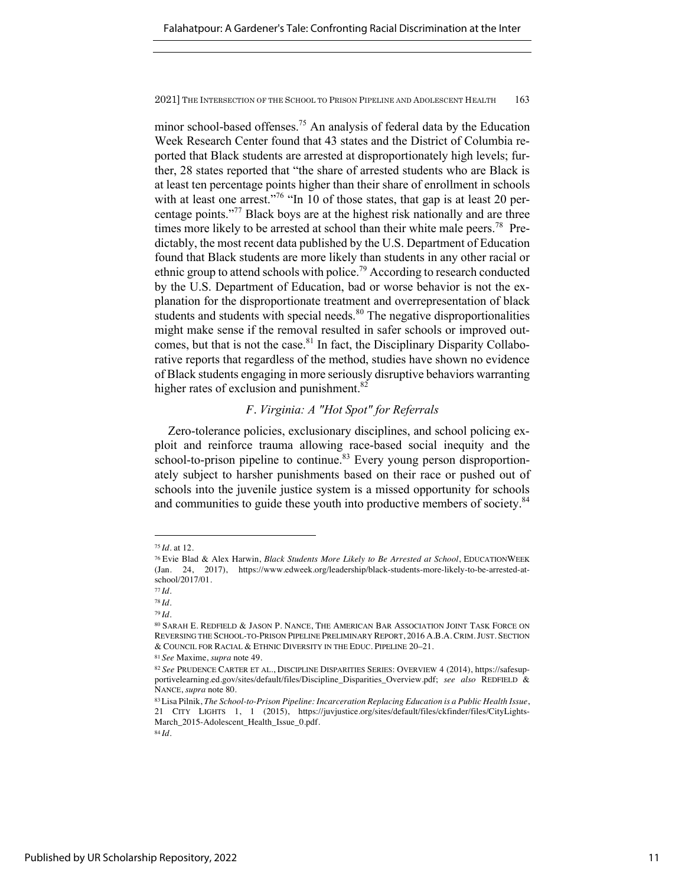minor school-based offenses.<sup>75</sup> An analysis of federal data by the Education Week Research Center found that 43 states and the District of Columbia reported that Black students are arrested at disproportionately high levels; further, 28 states reported that "the share of arrested students who are Black is at least ten percentage points higher than their share of enrollment in schools with at least one arrest."<sup>76</sup> "In 10 of those states, that gap is at least 20 percentage points."77 Black boys are at the highest risk nationally and are three times more likely to be arrested at school than their white male peers.<sup>78</sup> Predictably, the most recent data published by the U.S. Department of Education found that Black students are more likely than students in any other racial or ethnic group to attend schools with police.<sup>79</sup> According to research conducted by the U.S. Department of Education, bad or worse behavior is not the explanation for the disproportionate treatment and overrepresentation of black students and students with special needs. $80$  The negative disproportionalities might make sense if the removal resulted in safer schools or improved outcomes, but that is not the case.<sup>81</sup> In fact, the Disciplinary Disparity Collaborative reports that regardless of the method, studies have shown no evidence of Black students engaging in more seriously disruptive behaviors warranting higher rates of exclusion and punishment.<sup>82</sup>

## *F. Virginia: A "Hot Spot" for Referrals*

Zero-tolerance policies, exclusionary disciplines, and school policing exploit and reinforce trauma allowing race-based social inequity and the school-to-prison pipeline to continue.<sup>83</sup> Every young person disproportionately subject to harsher punishments based on their race or pushed out of schools into the juvenile justice system is a missed opportunity for schools and communities to guide these youth into productive members of society.<sup>84</sup>

<sup>75</sup> *Id.* at 12.

<sup>76</sup> Evie Blad & Alex Harwin, *Black Students More Likely to Be Arrested at School*, EDUCATIONWEEK (Jan. 24, 2017), https://www.edweek.org/leadership/black-students-more-likely-to-be-arrested-atschool/2017/01.

<sup>77</sup> *Id.*

<sup>78</sup> *Id.*

<sup>79</sup> *Id.*

<sup>80</sup> SARAH E. REDFIELD & JASON P. NANCE, THE AMERICAN BAR ASSOCIATION JOINT TASK FORCE ON REVERSING THE SCHOOL-TO-PRISON PIPELINE PRELIMINARY REPORT, 2016 A.B.A. CRIM.JUST. SECTION & COUNCIL FOR RACIAL & ETHNIC DIVERSITY IN THE EDUC. PIPELINE 20–21.

<sup>81</sup> *See* Maxime, *supra* note 49.

<sup>82</sup> *See* PRUDENCE CARTER ET AL., DISCIPLINE DISPARITIES SERIES: OVERVIEW 4 (2014), https://safesupportivelearning.ed.gov/sites/default/files/Discipline\_Disparities\_Overview.pdf; *see also* REDFIELD & NANCE, *supra* note 80.

<sup>83</sup>Lisa Pilnik, *The School-to-Prison Pipeline: Incarceration Replacing Education is a Public Health Issue*, 21 CITY LIGHTS 1, 1 (2015), https://juvjustice.org/sites/default/files/ckfinder/files/CityLights-March\_2015-Adolescent\_Health\_Issue\_0.pdf.

<sup>84</sup> *Id.*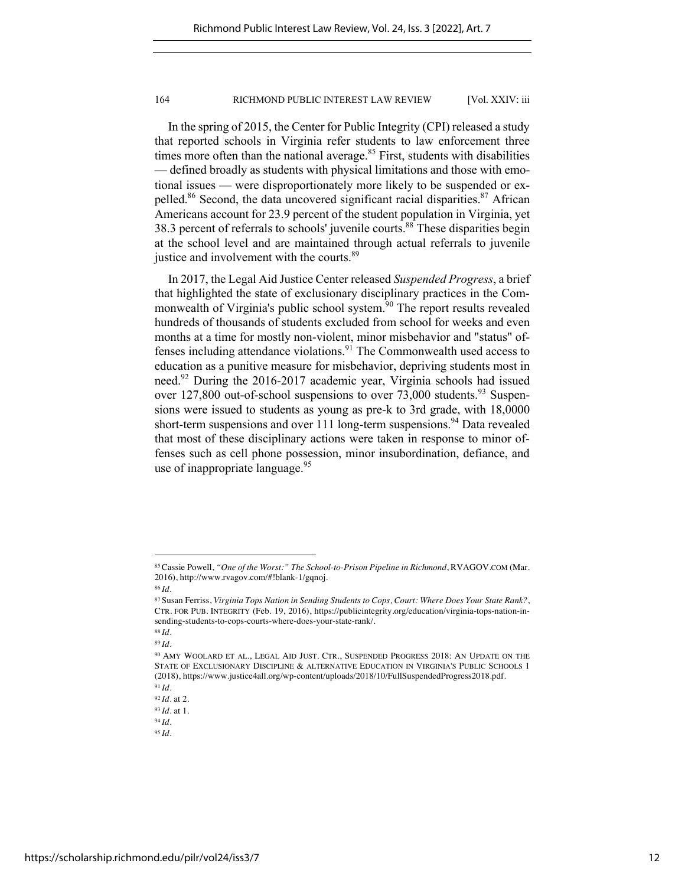In the spring of 2015, the Center for Public Integrity (CPI) released a study that reported schools in Virginia refer students to law enforcement three times more often than the national average. $85$  First, students with disabilities — defined broadly as students with physical limitations and those with emotional issues — were disproportionately more likely to be suspended or expelled.<sup>86</sup> Second, the data uncovered significant racial disparities.<sup>87</sup> African Americans account for 23.9 percent of the student population in Virginia, yet 38.3 percent of referrals to schools' juvenile courts.<sup>88</sup> These disparities begin at the school level and are maintained through actual referrals to juvenile justice and involvement with the courts.<sup>89</sup>

In 2017, the Legal Aid Justice Center released *Suspended Progress*, a brief that highlighted the state of exclusionary disciplinary practices in the Commonwealth of Virginia's public school system.<sup>90</sup> The report results revealed hundreds of thousands of students excluded from school for weeks and even months at a time for mostly non-violent, minor misbehavior and "status" offenses including attendance violations. $91$  The Commonwealth used access to education as a punitive measure for misbehavior, depriving students most in need.92 During the 2016-2017 academic year, Virginia schools had issued over  $127,800$  out-of-school suspensions to over  $73,000$  students.<sup>93</sup> Suspensions were issued to students as young as pre-k to 3rd grade, with 18,0000 short-term suspensions and over 111 long-term suspensions.<sup>94</sup> Data revealed that most of these disciplinary actions were taken in response to minor offenses such as cell phone possession, minor insubordination, defiance, and use of inappropriate language.<sup>95</sup>

<sup>85</sup>Cassie Powell, *"One of the Worst:" The School-to-Prison Pipeline in Richmond*, RVAGOV.COM (Mar. 2016), http://www.rvagov.com/#!blank-1/gqnoj.

<sup>86</sup> *Id.*

<sup>87</sup> Susan Ferriss, *Virginia Tops Nation in Sending Students to Cops, Court: Where Does Your State Rank?*, CTR. FOR PUB. INTEGRITY (Feb. 19, 2016), https://publicintegrity.org/education/virginia-tops-nation-insending-students-to-cops-courts-where-does-your-state-rank/.

<sup>88</sup> *Id.*

<sup>89</sup> *Id.*

<sup>90</sup> AMY WOOLARD ET AL., LEGAL AID JUST. CTR., SUSPENDED PROGRESS 2018: AN UPDATE ON THE STATE OF EXCLUSIONARY DISCIPLINE & ALTERNATIVE EDUCATION IN VIRGINIA'S PUBLIC SCHOOLS 1 (2018), https://www.justice4all.org/wp-content/uploads/2018/10/FullSuspendedProgress2018.pdf. <sup>91</sup> *Id.*

<sup>92</sup> *Id.* at 2.

<sup>93</sup> *Id.* at 1.

<sup>94</sup> *Id.*

<sup>95</sup> *Id.*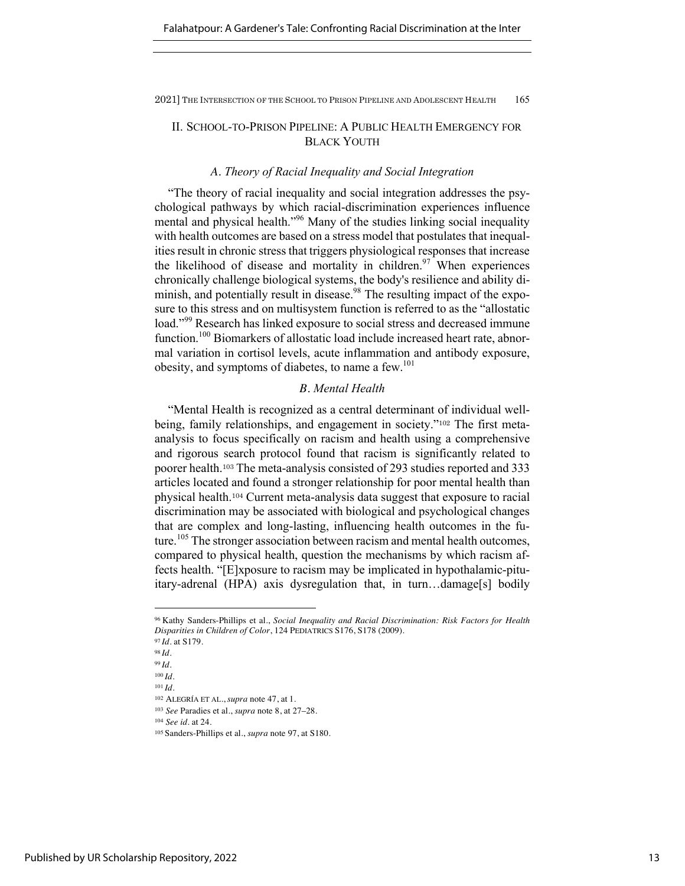## II. SCHOOL-TO-PRISON PIPELINE: A PUBLIC HEALTH EMERGENCY FOR BLACK YOUTH

## *A. Theory of Racial Inequality and Social Integration*

"The theory of racial inequality and social integration addresses the psychological pathways by which racial-discrimination experiences influence mental and physical health."<sup>96</sup> Many of the studies linking social inequality with health outcomes are based on a stress model that postulates that inequalities result in chronic stress that triggers physiological responses that increase the likelihood of disease and mortality in children.<sup>97</sup> When experiences chronically challenge biological systems, the body's resilience and ability diminish, and potentially result in disease.<sup>98</sup> The resulting impact of the exposure to this stress and on multisystem function is referred to as the "allostatic load."<sup>99</sup> Research has linked exposure to social stress and decreased immune function.<sup>100</sup> Biomarkers of allostatic load include increased heart rate, abnormal variation in cortisol levels, acute inflammation and antibody exposure, obesity, and symptoms of diabetes, to name a few.<sup>101</sup>

## *B. Mental Health*

"Mental Health is recognized as a central determinant of individual wellbeing, family relationships, and engagement in society."<sup>102</sup> The first metaanalysis to focus specifically on racism and health using a comprehensive and rigorous search protocol found that racism is significantly related to poorer health.<sup>103</sup> The meta-analysis consisted of 293 studies reported and 333 articles located and found a stronger relationship for poor mental health than physical health.<sup>104</sup> Current meta-analysis data suggest that exposure to racial discrimination may be associated with biological and psychological changes that are complex and long-lasting, influencing health outcomes in the future.<sup>105</sup> The stronger association between racism and mental health outcomes, compared to physical health, question the mechanisms by which racism affects health. "[E]xposure to racism may be implicated in hypothalamic-pituitary-adrenal (HPA) axis dysregulation that, in turn…damage[s] bodily

<sup>102</sup> ALEGRÍA ET AL., *supra* note 47, at 1.

<sup>104</sup> *See id.* at 24.

<sup>96</sup> Kathy Sanders-Phillips et al., *Social Inequality and Racial Discrimination: Risk Factors for Health Disparities in Children of Color*, 124 PEDIATRICS S176, S178 (2009).

<sup>97</sup> *Id.* at S179.

<sup>98</sup> *Id.* <sup>99</sup> *Id.*

<sup>100</sup> *Id.*

<sup>101</sup> *Id.*

<sup>103</sup> *See* Paradies et al., *supra* note 8, at 27–28.

<sup>105</sup> Sanders-Phillips et al., *supra* note 97, at S180.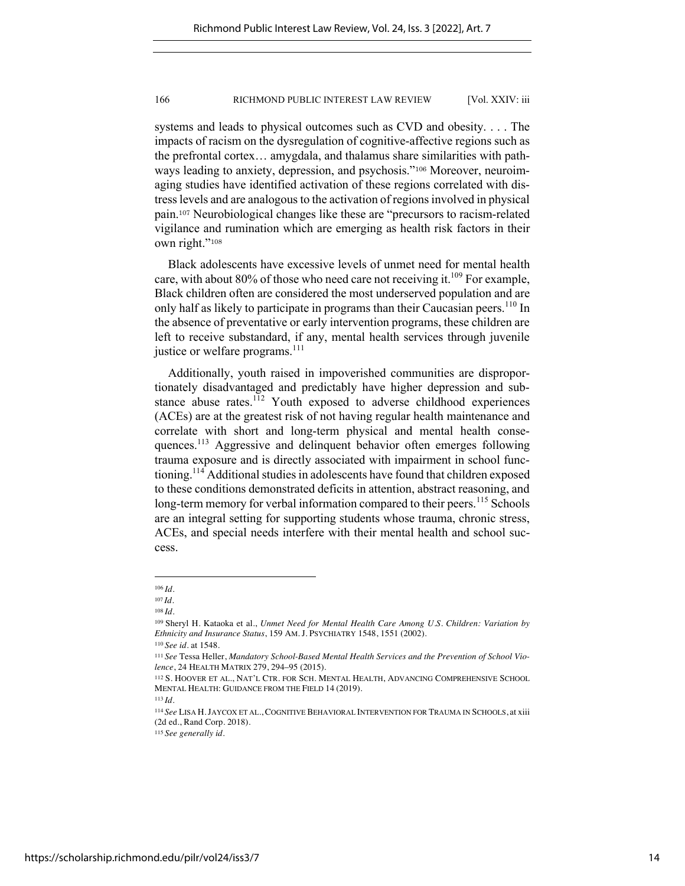systems and leads to physical outcomes such as CVD and obesity. . . . The impacts of racism on the dysregulation of cognitive-affective regions such as the prefrontal cortex… amygdala, and thalamus share similarities with pathways leading to anxiety, depression, and psychosis."<sup>106</sup> Moreover, neuroimaging studies have identified activation of these regions correlated with distress levels and are analogous to the activation of regions involved in physical pain.<sup>107</sup> Neurobiological changes like these are "precursors to racism-related vigilance and rumination which are emerging as health risk factors in their own right."<sup>108</sup>

Black adolescents have excessive levels of unmet need for mental health care, with about 80% of those who need care not receiving it.<sup>109</sup> For example, Black children often are considered the most underserved population and are only half as likely to participate in programs than their Caucasian peers.<sup>110</sup> In the absence of preventative or early intervention programs, these children are left to receive substandard, if any, mental health services through juvenile justice or welfare programs.<sup>111</sup>

Additionally, youth raised in impoverished communities are disproportionately disadvantaged and predictably have higher depression and substance abuse rates.<sup>112</sup> Youth exposed to adverse childhood experiences (ACEs) are at the greatest risk of not having regular health maintenance and correlate with short and long-term physical and mental health consequences.<sup>113</sup> Aggressive and delinquent behavior often emerges following trauma exposure and is directly associated with impairment in school functioning.114 Additional studies in adolescents have found that children exposed to these conditions demonstrated deficits in attention, abstract reasoning, and long-term memory for verbal information compared to their peers.<sup>115</sup> Schools are an integral setting for supporting students whose trauma, chronic stress, ACEs, and special needs interfere with their mental health and school success.

<sup>106</sup> *Id.*

<sup>107</sup> *Id.*

<sup>108</sup> *Id.*

<sup>109</sup> Sheryl H. Kataoka et al., *Unmet Need for Mental Health Care Among U.S. Children: Variation by Ethnicity and Insurance Status*, 159 AM. J. PSYCHIATRY 1548, 1551 (2002). <sup>110</sup> *See id.* at 1548.

<sup>111</sup> *See* Tessa Heller, *Mandatory School-Based Mental Health Services and the Prevention of School Violence*, 24 HEALTH MATRIX 279, 294–95 (2015).

<sup>112</sup> S. HOOVER ET AL., NAT'L CTR. FOR SCH. MENTAL HEALTH, ADVANCING COMPREHENSIVE SCHOOL MENTAL HEALTH: GUIDANCE FROM THE FIELD 14 (2019).

<sup>114</sup> *See* LISA H.JAYCOX ET AL., COGNITIVE BEHAVIORAL INTERVENTION FOR TRAUMA IN SCHOOLS, at xiii (2d ed., Rand Corp. 2018).

<sup>115</sup> *See generally id.*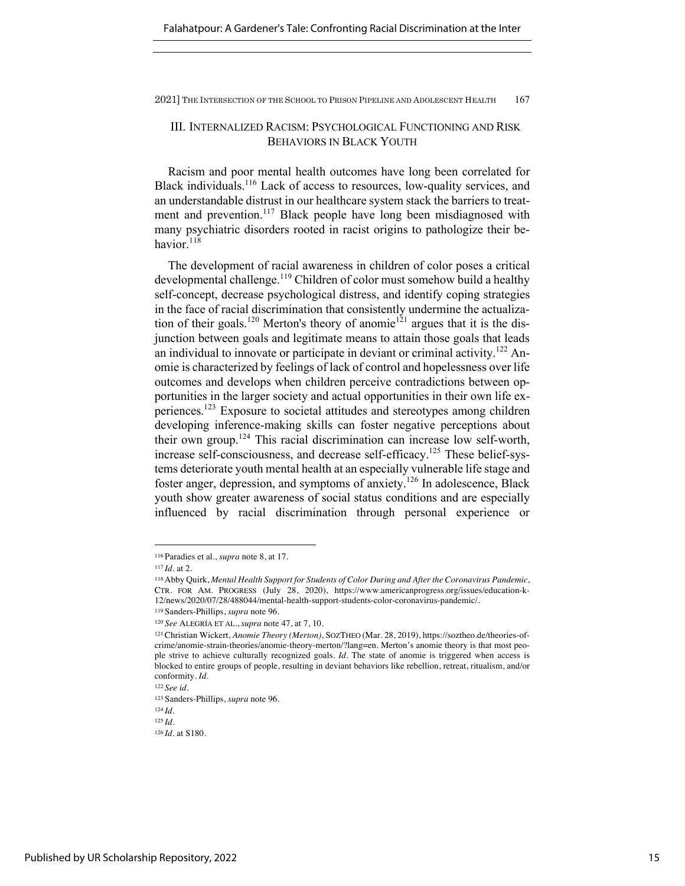Falahatpour: A Gardener's Tale: Confronting Racial Discrimination at the Inter

2021] THE INTERSECTION OF THE SCHOOL TO PRISON PIPELINE AND ADOLESCENT HEALTH 167

## III. INTERNALIZED RACISM: PSYCHOLOGICAL FUNCTIONING AND RISK BEHAVIORS IN BLACK YOUTH

Racism and poor mental health outcomes have long been correlated for Black individuals.<sup>116</sup> Lack of access to resources, low-quality services, and an understandable distrust in our healthcare system stack the barriers to treatment and prevention.<sup>117</sup> Black people have long been misdiagnosed with many psychiatric disorders rooted in racist origins to pathologize their behavior.<sup>118</sup>

The development of racial awareness in children of color poses a critical developmental challenge.<sup>119</sup> Children of color must somehow build a healthy self-concept, decrease psychological distress, and identify coping strategies in the face of racial discrimination that consistently undermine the actualization of their goals.<sup>120</sup> Merton's theory of anomie<sup>121</sup> argues that it is the disjunction between goals and legitimate means to attain those goals that leads an individual to innovate or participate in deviant or criminal activity.<sup>122</sup> Anomie is characterized by feelings of lack of control and hopelessness over life outcomes and develops when children perceive contradictions between opportunities in the larger society and actual opportunities in their own life experiences.123 Exposure to societal attitudes and stereotypes among children developing inference-making skills can foster negative perceptions about their own group.<sup>124</sup> This racial discrimination can increase low self-worth, increase self-consciousness, and decrease self-efficacy.125 These belief-systems deteriorate youth mental health at an especially vulnerable life stage and foster anger, depression, and symptoms of anxiety.<sup>126</sup> In adolescence, Black youth show greater awareness of social status conditions and are especially influenced by racial discrimination through personal experience or

<sup>116</sup> Paradies et al., *supra* note 8, at 17.

<sup>117</sup> *Id.* at 2.

<sup>118</sup>Abby Quirk, *Mental Health Support for Students of Color During and After the Coronavirus Pandemic*, CTR. FOR AM. PROGRESS (July 28, 2020), https://www.americanprogress.org/issues/education-k-12/news/2020/07/28/488044/mental-health-support-students-color-coronavirus-pandemic/.

<sup>119</sup> Sanders-Phillips, *supra* note 96. <sup>120</sup> *See* ALEGRÍA ET AL., *supra* note 47, at 7, 10.

<sup>121</sup>Christian Wickert, *Anomie Theory (Merton)*, SOZTHEO (Mar. 28, 2019), https://soztheo.de/theories-ofcrime/anomie-strain-theories/anomie-theory-merton/?lang=en. Merton's anomie theory is that most people strive to achieve culturally recognized goals. *Id.* The state of anomie is triggered when access is blocked to entire groups of people, resulting in deviant behaviors like rebellion, retreat, ritualism, and/or conformity. *Id.*

<sup>122</sup> *See id.*

<sup>123</sup> Sanders-Phillips, *supra* note 96.

<sup>124</sup> *Id.*

<sup>125</sup> *Id.*

<sup>126</sup> *Id.* at S180.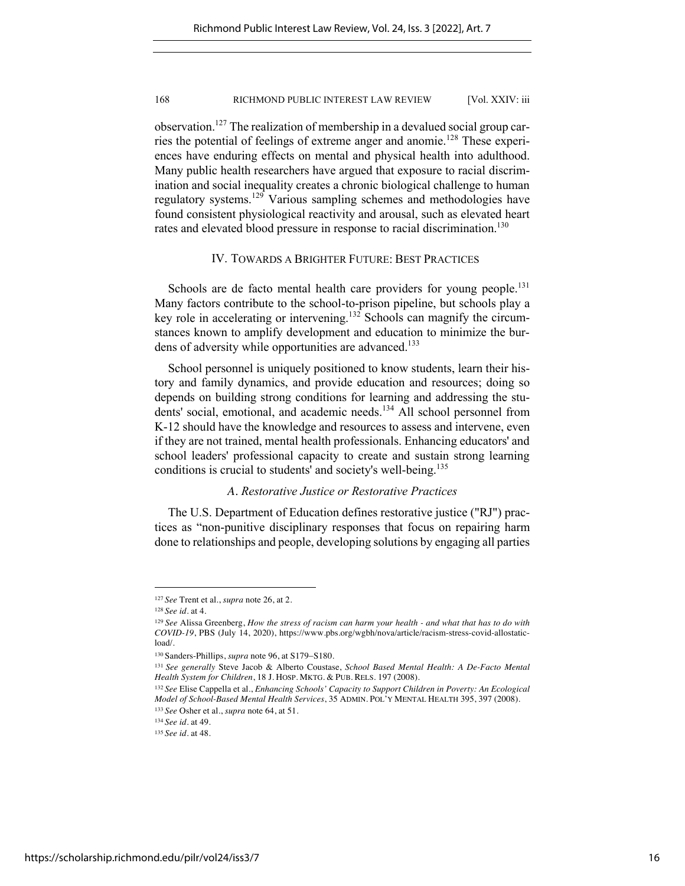observation.127 The realization of membership in a devalued social group carries the potential of feelings of extreme anger and anomie.<sup>128</sup> These experiences have enduring effects on mental and physical health into adulthood. Many public health researchers have argued that exposure to racial discrimination and social inequality creates a chronic biological challenge to human regulatory systems.<sup>129</sup> Various sampling schemes and methodologies have found consistent physiological reactivity and arousal, such as elevated heart rates and elevated blood pressure in response to racial discrimination.<sup>130</sup>

## IV. TOWARDS A BRIGHTER FUTURE: BEST PRACTICES

Schools are de facto mental health care providers for young people.<sup>131</sup> Many factors contribute to the school-to-prison pipeline, but schools play a key role in accelerating or intervening.<sup>132</sup> Schools can magnify the circumstances known to amplify development and education to minimize the burdens of adversity while opportunities are advanced.<sup>133</sup>

School personnel is uniquely positioned to know students, learn their history and family dynamics, and provide education and resources; doing so depends on building strong conditions for learning and addressing the students' social, emotional, and academic needs.<sup>134</sup> All school personnel from K-12 should have the knowledge and resources to assess and intervene, even if they are not trained, mental health professionals. Enhancing educators' and school leaders' professional capacity to create and sustain strong learning conditions is crucial to students' and society's well-being.<sup>135</sup>

## *A. Restorative Justice or Restorative Practices*

The U.S. Department of Education defines restorative justice ("RJ") practices as "non-punitive disciplinary responses that focus on repairing harm done to relationships and people, developing solutions by engaging all parties

<sup>127</sup> *See* Trent et al., *supra* note 26, at 2.

<sup>128</sup> *See id.* at 4.

<sup>129</sup> *See* Alissa Greenberg, *How the stress of racism can harm your health - and what that has to do with COVID-19*, PBS (July 14, 2020), https://www.pbs.org/wgbh/nova/article/racism-stress-covid-allostaticload/.

<sup>130</sup> Sanders-Phillips, *supra* note 96, at S179-S180.

<sup>131</sup> *See generally* Steve Jacob & Alberto Coustase, *School Based Mental Health: A De-Facto Mental Health System for Children*, 18 J. HOSP. MKTG. & PUB. RELS. 197 (2008).

<sup>132</sup> *See* Elise Cappella et al., *Enhancing Schools' Capacity to Support Children in Poverty: An Ecological Model of School-Based Mental Health Services*, 35 ADMIN. POL'Y MENTAL HEALTH 395, 397 (2008). <sup>133</sup> *See* Osher et al., *supra* note 64, at 51.

<sup>134</sup> *See id.* at 49.

<sup>135</sup> *See id.* at 48.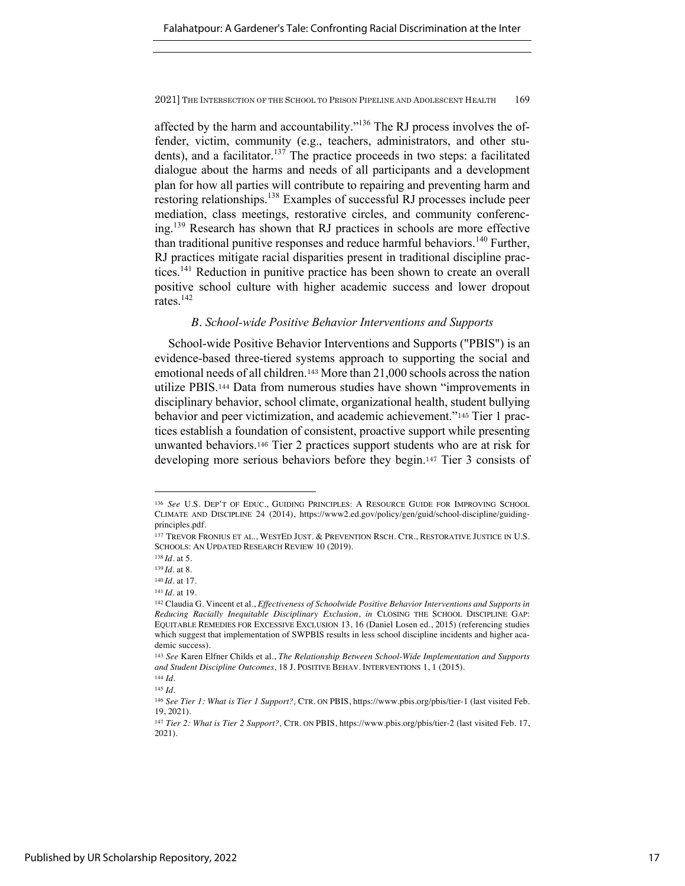affected by the harm and accountability."136 The RJ process involves the offender, victim, community (e.g., teachers, administrators, and other students), and a facilitator.<sup>137</sup> The practice proceeds in two steps: a facilitated dialogue about the harms and needs of all participants and a development plan for how all parties will contribute to repairing and preventing harm and restoring relationships.<sup>138</sup> Examples of successful RJ processes include peer mediation, class meetings, restorative circles, and community conferencing.139 Research has shown that RJ practices in schools are more effective than traditional punitive responses and reduce harmful behaviors.<sup>140</sup> Further, RJ practices mitigate racial disparities present in traditional discipline practices.<sup>141</sup> Reduction in punitive practice has been shown to create an overall positive school culture with higher academic success and lower dropout rates.<sup>142</sup>

## *B. School-wide Positive Behavior Interventions and Supports*

School-wide Positive Behavior Interventions and Supports ("PBIS") is an evidence-based three-tiered systems approach to supporting the social and emotional needs of all children.<sup>143</sup> More than 21,000 schools across the nation utilize PBIS.<sup>144</sup> Data from numerous studies have shown "improvements in disciplinary behavior, school climate, organizational health, student bullying behavior and peer victimization, and academic achievement."<sup>145</sup> Tier 1 practices establish a foundation of consistent, proactive support while presenting unwanted behaviors.<sup>146</sup> Tier 2 practices support students who are at risk for developing more serious behaviors before they begin.<sup>147</sup> Tier 3 consists of

<sup>136</sup> *See* U.S. DEP'T OF EDUC., GUIDING PRINCIPLES: A RESOURCE GUIDE FOR IMPROVING SCHOOL CLIMATE AND DISCIPLINE 24 (2014), https://www2.ed.gov/policy/gen/guid/school-discipline/guidingprinciples.pdf.

<sup>137</sup> TREVOR FRONIUS ET AL., WESTED JUST. & PREVENTION RSCH. CTR., RESTORATIVE JUSTICE IN U.S. SCHOOLS: AN UPDATED RESEARCH REVIEW 10 (2019).

<sup>138</sup> *Id.* at 5.

<sup>139</sup> *Id.* at 8.

<sup>140</sup> *Id.* at 17.

<sup>141</sup> *Id.* at 19.

<sup>142</sup> Claudia G. Vincent et al., *Effectiveness of Schoolwide Positive Behavior Interventions and Supports in Reducing Racially Inequitable Disciplinary Exclusion*, *in* CLOSING THE SCHOOL DISCIPLINE GAP: EQUITABLE REMEDIES FOR EXCESSIVE EXCLUSION 13, 16 (Daniel Losen ed., 2015) (referencing studies which suggest that implementation of SWPBIS results in less school discipline incidents and higher academic success).

<sup>143</sup> *See* Karen Elfner Childs et al., *The Relationship Between School-Wide Implementation and Supports and Student Discipline Outcomes*, 18 J. POSITIVE BEHAV. INTERVENTIONS 1, 1 (2015).

<sup>144</sup> *Id.* <sup>145</sup> *Id.*

<sup>146</sup> *See Tier 1: What is Tier 1 Support?,* CTR. ON PBIS, https://www.pbis.org/pbis/tier-1 (last visited Feb. 19, 2021).

<sup>147</sup> *Tier 2: What is Tier 2 Support?,* CTR. ON PBIS, https://www.pbis.org/pbis/tier-2 (last visited Feb. 17, 2021).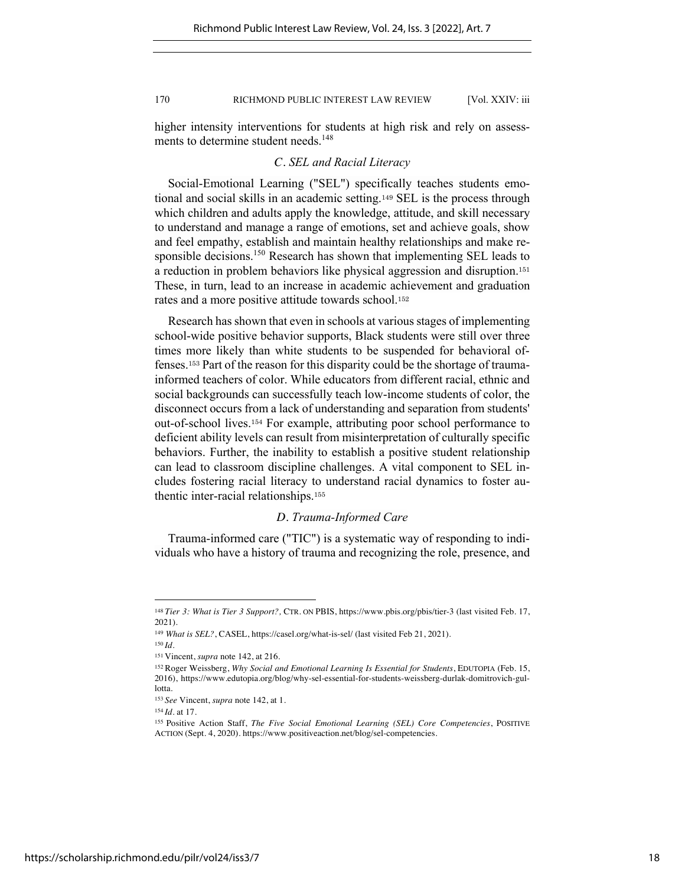higher intensity interventions for students at high risk and rely on assessments to determine student needs.<sup>148</sup>

#### *C. SEL and Racial Literacy*

Social-Emotional Learning ("SEL") specifically teaches students emotional and social skills in an academic setting.<sup>149</sup> SEL is the process through which children and adults apply the knowledge, attitude, and skill necessary to understand and manage a range of emotions, set and achieve goals, show and feel empathy, establish and maintain healthy relationships and make responsible decisions.<sup>150</sup> Research has shown that implementing SEL leads to a reduction in problem behaviors like physical aggression and disruption.<sup>151</sup> These, in turn, lead to an increase in academic achievement and graduation rates and a more positive attitude towards school.<sup>152</sup>

Research has shown that even in schools at various stages of implementing school-wide positive behavior supports, Black students were still over three times more likely than white students to be suspended for behavioral offenses.<sup>153</sup> Part of the reason for this disparity could be the shortage of traumainformed teachers of color. While educators from different racial, ethnic and social backgrounds can successfully teach low-income students of color, the disconnect occurs from a lack of understanding and separation from students' out-of-school lives.<sup>154</sup> For example, attributing poor school performance to deficient ability levels can result from misinterpretation of culturally specific behaviors. Further, the inability to establish a positive student relationship can lead to classroom discipline challenges. A vital component to SEL includes fostering racial literacy to understand racial dynamics to foster authentic inter-racial relationships.<sup>155</sup>

## *D. Trauma-Informed Care*

Trauma-informed care ("TIC") is a systematic way of responding to individuals who have a history of trauma and recognizing the role, presence, and

<sup>148</sup> *Tier 3: What is Tier 3 Support?,* CTR. ON PBIS, https://www.pbis.org/pbis/tier-3 (last visited Feb. 17, 2021).

<sup>&</sup>lt;sup>149</sup> What is SEL?, CASEL, https://casel.org/what-is-sel/ (last visited Feb 21, 2021).

<sup>150</sup> *Id.*

<sup>151</sup> Vincent, *supra* note 142, at 216.

<sup>152</sup> Roger Weissberg, *Why Social and Emotional Learning Is Essential for Students*, EDUTOPIA (Feb. 15, 2016), https://www.edutopia.org/blog/why-sel-essential-for-students-weissberg-durlak-domitrovich-gullotta.

<sup>153</sup> *See* Vincent, *supra* note 142, at 1.

<sup>154</sup> *Id.* at 17.

<sup>155</sup> Positive Action Staff, *The Five Social Emotional Learning (SEL) Core Competencies*, POSITIVE ACTION (Sept. 4, 2020). https://www.positiveaction.net/blog/sel-competencies.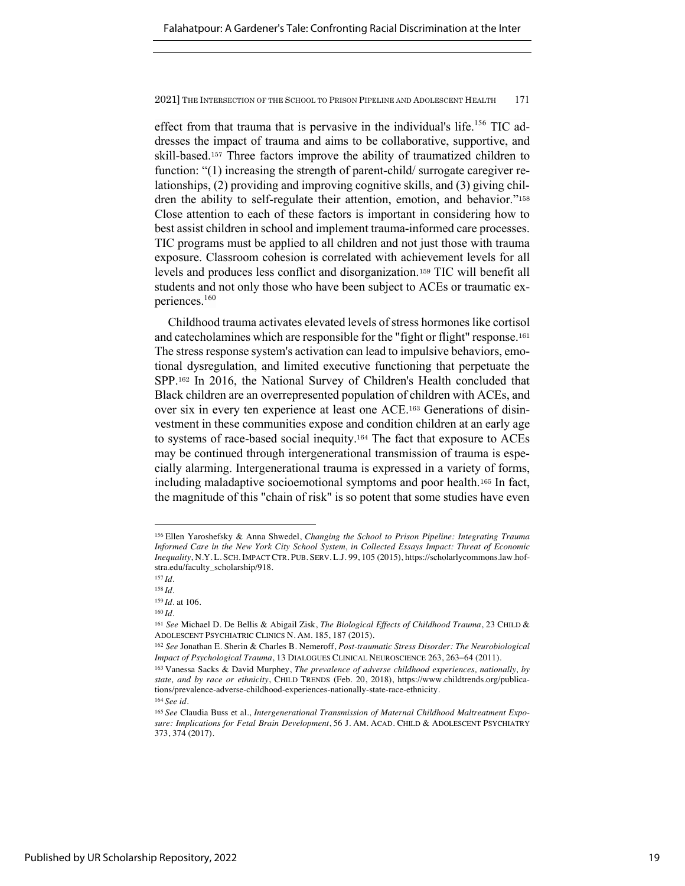effect from that trauma that is pervasive in the individual's life.<sup>156</sup> TIC addresses the impact of trauma and aims to be collaborative, supportive, and skill-based.<sup>157</sup> Three factors improve the ability of traumatized children to function: "(1) increasing the strength of parent-child/ surrogate caregiver relationships, (2) providing and improving cognitive skills, and (3) giving children the ability to self-regulate their attention, emotion, and behavior."<sup>158</sup> Close attention to each of these factors is important in considering how to best assist children in school and implement trauma-informed care processes. TIC programs must be applied to all children and not just those with trauma exposure. Classroom cohesion is correlated with achievement levels for all levels and produces less conflict and disorganization.<sup>159</sup> TIC will benefit all students and not only those who have been subject to ACEs or traumatic experiences.<sup>160</sup>

Childhood trauma activates elevated levels of stress hormones like cortisol and catecholamines which are responsible for the "fight or flight" response.<sup>161</sup> The stress response system's activation can lead to impulsive behaviors, emotional dysregulation, and limited executive functioning that perpetuate the SPP.<sup>162</sup> In 2016, the National Survey of Children's Health concluded that Black children are an overrepresented population of children with ACEs, and over six in every ten experience at least one ACE.<sup>163</sup> Generations of disinvestment in these communities expose and condition children at an early age to systems of race-based social inequity.<sup>164</sup> The fact that exposure to ACEs may be continued through intergenerational transmission of trauma is especially alarming. Intergenerational trauma is expressed in a variety of forms, including maladaptive socioemotional symptoms and poor health.<sup>165</sup> In fact, the magnitude of this "chain of risk" is so potent that some studies have even

<sup>156</sup> Ellen Yaroshefsky & Anna Shwedel, *Changing the School to Prison Pipeline: Integrating Trauma Informed Care in the New York City School System, in Collected Essays Impact: Threat of Economic Inequality*, N.Y. L. SCH. IMPACT CTR. PUB. SERV. L.J. 99, 105 (2015), https://scholarlycommons.law.hofstra.edu/faculty\_scholarship/918.

<sup>157</sup> *Id.*

<sup>158</sup> *Id.*

<sup>159</sup> *Id.* at 106. <sup>160</sup> *Id.*

<sup>161</sup> *See* Michael D. De Bellis & Abigail Zisk, *The Biological Effects of Childhood Trauma*, 23 CHILD & ADOLESCENT PSYCHIATRIC CLINICS N. AM. 185, 187 (2015).

<sup>162</sup> *See* Jonathan E. Sherin & Charles B. Nemeroff, *Post-traumatic Stress Disorder: The Neurobiological Impact of Psychological Trauma*, 13 DIALOGUES CLINICAL NEUROSCIENCE 263, 263-64 (2011).

<sup>163</sup> Vanessa Sacks & David Murphey, *The prevalence of adverse childhood experiences, nationally, by state, and by race or ethnicity*, CHILD TRENDS (Feb. 20, 2018), https://www.childtrends.org/publications/prevalence-adverse-childhood-experiences-nationally-state-race-ethnicity. <sup>164</sup> *See id.* 

<sup>165</sup> *See* Claudia Buss et al., *Intergenerational Transmission of Maternal Childhood Maltreatment Exposure: Implications for Fetal Brain Development*, 56 J. AM. ACAD. CHILD & ADOLESCENT PSYCHIATRY 373, 374 (2017).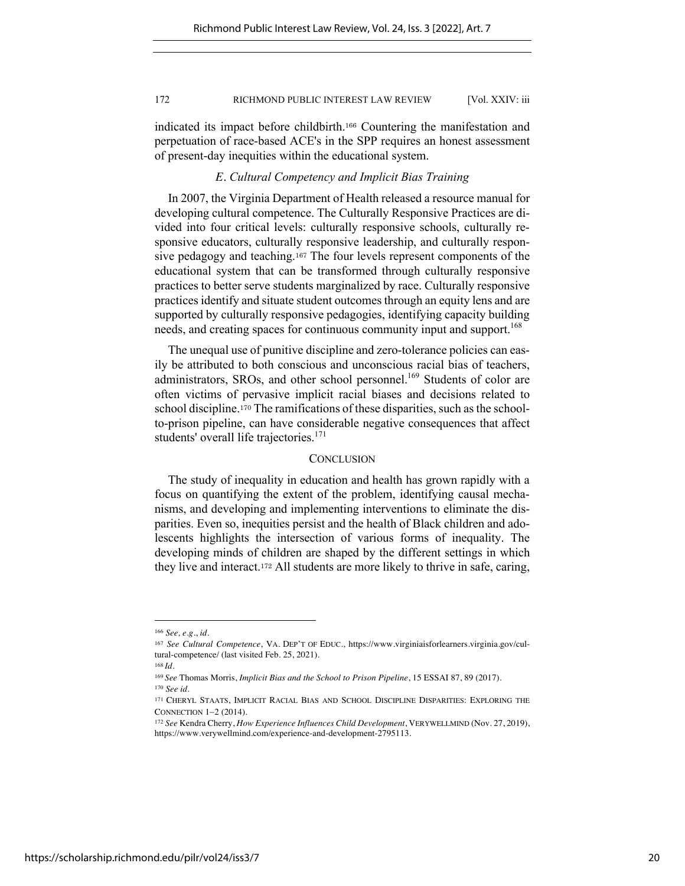indicated its impact before childbirth.<sup>166</sup> Countering the manifestation and perpetuation of race-based ACE's in the SPP requires an honest assessment of present-day inequities within the educational system.

## *E. Cultural Competency and Implicit Bias Training*

In 2007, the Virginia Department of Health released a resource manual for developing cultural competence. The Culturally Responsive Practices are divided into four critical levels: culturally responsive schools, culturally responsive educators, culturally responsive leadership, and culturally responsive pedagogy and teaching.<sup>167</sup> The four levels represent components of the educational system that can be transformed through culturally responsive practices to better serve students marginalized by race. Culturally responsive practices identify and situate student outcomes through an equity lens and are supported by culturally responsive pedagogies, identifying capacity building needs, and creating spaces for continuous community input and support.<sup>168</sup>

The unequal use of punitive discipline and zero-tolerance policies can easily be attributed to both conscious and unconscious racial bias of teachers, administrators, SROs, and other school personnel.<sup>169</sup> Students of color are often victims of pervasive implicit racial biases and decisions related to school discipline.<sup>170</sup> The ramifications of these disparities, such as the schoolto-prison pipeline, can have considerable negative consequences that affect students' overall life trajectories.<sup>171</sup>

#### **CONCLUSION**

The study of inequality in education and health has grown rapidly with a focus on quantifying the extent of the problem, identifying causal mechanisms, and developing and implementing interventions to eliminate the disparities. Even so, inequities persist and the health of Black children and adolescents highlights the intersection of various forms of inequality. The developing minds of children are shaped by the different settings in which they live and interact.<sup>172</sup> All students are more likely to thrive in safe, caring,

<sup>166</sup> *See, e.g.*, *id.*

<sup>167</sup> *See Cultural Competence*, VA. DEP'T OF EDUC., https://www.virginiaisforlearners.virginia.gov/cultural-competence/ (last visited Feb. 25, 2021).

<sup>168</sup> *Id.*

<sup>169</sup> *See* Thomas Morris, *Implicit Bias and the School to Prison Pipeline*, 15 ESSAI 87, 89 (2017). <sup>170</sup> *See id.*

<sup>171</sup> CHERYL STAATS, IMPLICIT RACIAL BIAS AND SCHOOL DISCIPLINE DISPARITIES: EXPLORING THE CONNECTION 1-2 (2014).

<sup>172</sup> *See* Kendra Cherry, *How Experience Influences Child Development*, VERYWELLMIND (Nov. 27, 2019), https://www.verywellmind.com/experience-and-development-2795113.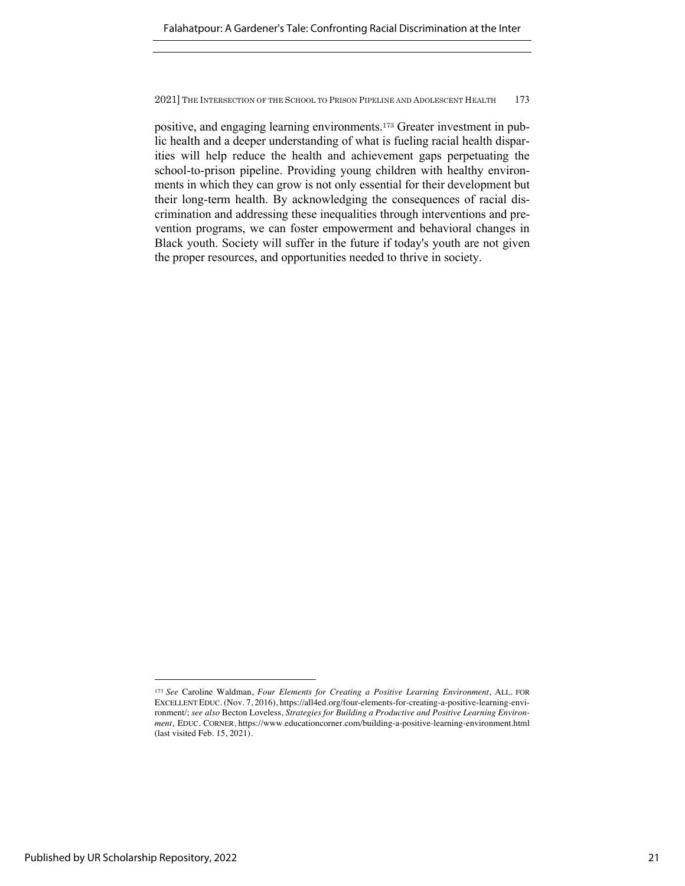positive, and engaging learning environments.<sup>173</sup> Greater investment in public health and a deeper understanding of what is fueling racial health disparities will help reduce the health and achievement gaps perpetuating the school-to-prison pipeline. Providing young children with healthy environments in which they can grow is not only essential for their development but their long-term health. By acknowledging the consequences of racial discrimination and addressing these inequalities through interventions and prevention programs, we can foster empowerment and behavioral changes in Black youth. Society will suffer in the future if today's youth are not given the proper resources, and opportunities needed to thrive in society.

<sup>173</sup> *See* Caroline Waldman, *Four Elements for Creating a Positive Learning Environment*, ALL. FOR EXCELLENT EDUC. (Nov. 7, 2016), https://all4ed.org/four-elements-for-creating-a-positive-learning-environment/; *see also* Becton Loveless, *Strategies for Building a Productive and Positive Learning Environment*, EDUC. CORNER, https://www.educationcorner.com/building-a-positive-learning-environment.html (last visited Feb. 15, 2021).